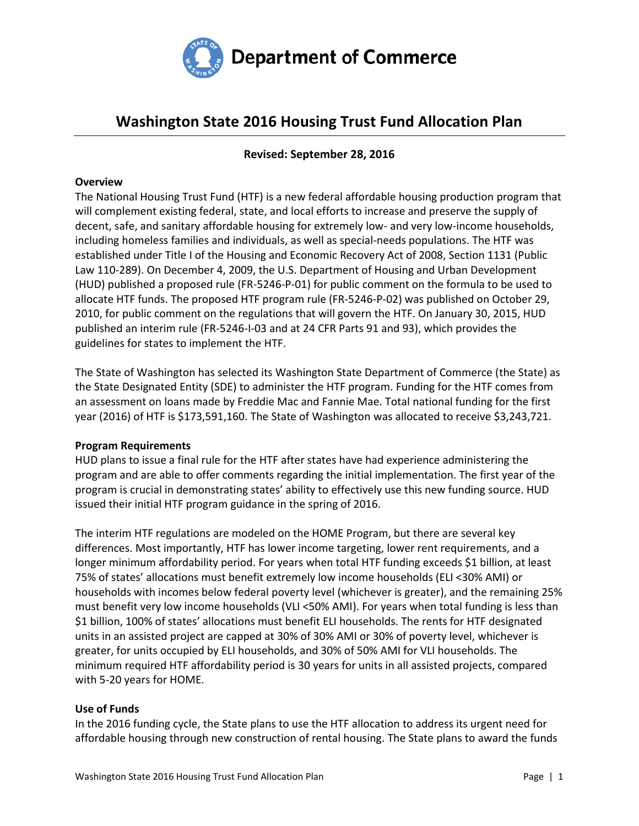

# **Washington State 2016 Housing Trust Fund Allocation Plan**

# **Revised: September 28, 2016**

### **Overview**

The National Housing Trust Fund (HTF) is a new federal affordable housing production program that will complement existing federal, state, and local efforts to increase and preserve the supply of decent, safe, and sanitary affordable housing for extremely low- and very low-income households, including homeless families and individuals, as well as special-needs populations. The HTF was established under Title I of the Housing and Economic Recovery Act of 2008, Section 1131 (Public Law 110-289). On December 4, 2009, the U.S. Department of Housing and Urban Development (HUD) published a proposed rule (FR-5246-P-01) for public comment on the formula to be used to allocate HTF funds. The proposed HTF program rule (FR-5246-P-02) was published on October 29, 2010, for public comment on the regulations that will govern the HTF. On January 30, 2015, HUD published an interim rule (FR-5246-I-03 and at 24 CFR Parts 91 and 93), which provides the guidelines for states to implement the HTF.

The State of Washington has selected its Washington State Department of Commerce (the State) as the State Designated Entity (SDE) to administer the HTF program. Funding for the HTF comes from an assessment on loans made by Freddie Mac and Fannie Mae. Total national funding for the first year (2016) of HTF is \$173,591,160. The State of Washington was allocated to receive \$3,243,721.

### **Program Requirements**

HUD plans to issue a final rule for the HTF after states have had experience administering the program and are able to offer comments regarding the initial implementation. The first year of the program is crucial in demonstrating states' ability to effectively use this new funding source. HUD issued their initial HTF program guidance in the spring of 2016.

The interim HTF regulations are modeled on the HOME Program, but there are several key differences. Most importantly, HTF has lower income targeting, lower rent requirements, and a longer minimum affordability period. For years when total HTF funding exceeds \$1 billion, at least 75% of states' allocations must benefit extremely low income households (ELI <30% AMI) or households with incomes below federal poverty level (whichever is greater), and the remaining 25% must benefit very low income households (VLI <50% AMI). For years when total funding is less than \$1 billion, 100% of states' allocations must benefit ELI households. The rents for HTF designated units in an assisted project are capped at 30% of 30% AMI or 30% of poverty level, whichever is greater, for units occupied by ELI households, and 30% of 50% AMI for VLI households. The minimum required HTF affordability period is 30 years for units in all assisted projects, compared with 5-20 years for HOME.

### **Use of Funds**

In the 2016 funding cycle, the State plans to use the HTF allocation to address its urgent need for affordable housing through new construction of rental housing. The State plans to award the funds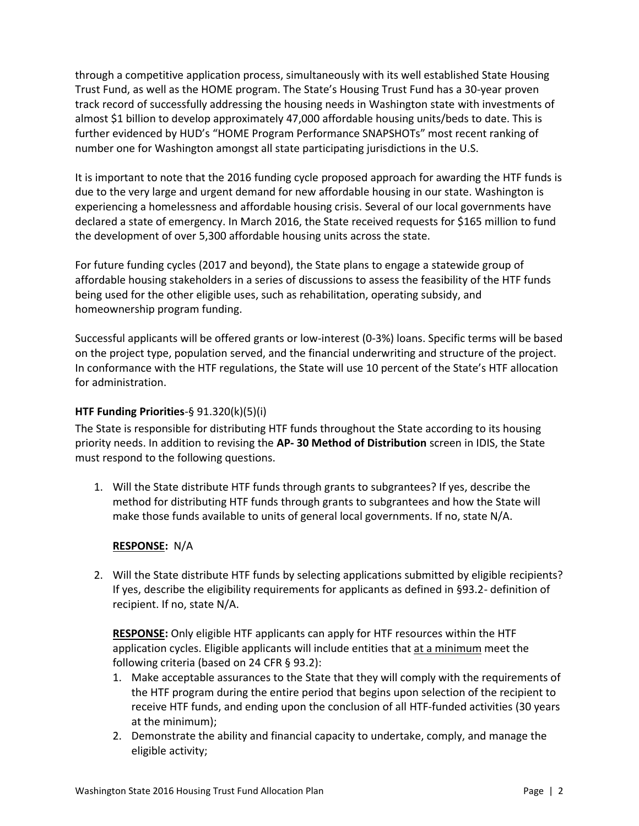through a competitive application process, simultaneously with its well established State Housing Trust Fund, as well as the HOME program. The State's Housing Trust Fund has a 30-year proven track record of successfully addressing the housing needs in Washington state with investments of almost \$1 billion to develop approximately 47,000 affordable housing units/beds to date. This is further evidenced by HUD's "HOME Program Performance SNAPSHOTs" most recent ranking of number one for Washington amongst all state participating jurisdictions in the U.S.

It is important to note that the 2016 funding cycle proposed approach for awarding the HTF funds is due to the very large and urgent demand for new affordable housing in our state. Washington is experiencing a homelessness and affordable housing crisis. Several of our local governments have declared a state of emergency. In March 2016, the State received requests for \$165 million to fund the development of over 5,300 affordable housing units across the state.

For future funding cycles (2017 and beyond), the State plans to engage a statewide group of affordable housing stakeholders in a series of discussions to assess the feasibility of the HTF funds being used for the other eligible uses, such as rehabilitation, operating subsidy, and homeownership program funding.

Successful applicants will be offered grants or low-interest (0-3%) loans. Specific terms will be based on the project type, population served, and the financial underwriting and structure of the project. In conformance with the HTF regulations, the State will use 10 percent of the State's HTF allocation for administration.

# **HTF Funding Priorities**-§ 91.320(k)(5)(i)

The State is responsible for distributing HTF funds throughout the State according to its housing priority needs. In addition to revising the **AP- 30 Method of Distribution** screen in IDIS, the State must respond to the following questions.

1. Will the State distribute HTF funds through grants to subgrantees? If yes, describe the method for distributing HTF funds through grants to subgrantees and how the State will make those funds available to units of general local governments. If no, state N/A.

# **RESPONSE:** N/A

2. Will the State distribute HTF funds by selecting applications submitted by eligible recipients? If yes, describe the eligibility requirements for applicants as defined in §93.2- definition of recipient. If no, state N/A.

**RESPONSE:** Only eligible HTF applicants can apply for HTF resources within the HTF application cycles. Eligible applicants will include entities that at a minimum meet the following criteria (based on 24 CFR § 93.2):

- 1. Make acceptable assurances to the State that they will comply with the requirements of the HTF program during the entire period that begins upon selection of the recipient to receive HTF funds, and ending upon the conclusion of all HTF-funded activities (30 years at the minimum);
- 2. Demonstrate the ability and financial capacity to undertake, comply, and manage the eligible activity;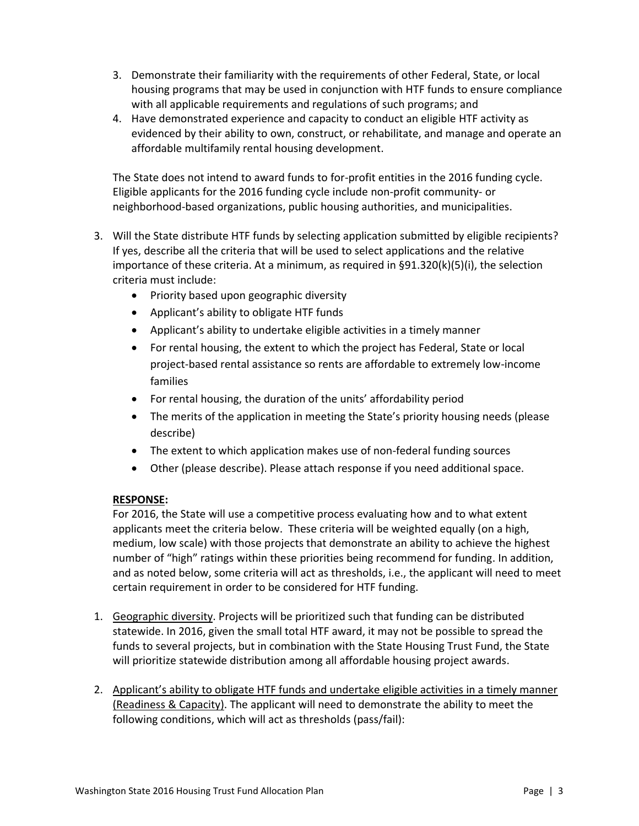- 3. Demonstrate their familiarity with the requirements of other Federal, State, or local housing programs that may be used in conjunction with HTF funds to ensure compliance with all applicable requirements and regulations of such programs; and
- 4. Have demonstrated experience and capacity to conduct an eligible HTF activity as evidenced by their ability to own, construct, or rehabilitate, and manage and operate an affordable multifamily rental housing development.

The State does not intend to award funds to for-profit entities in the 2016 funding cycle. Eligible applicants for the 2016 funding cycle include non-profit community- or neighborhood-based organizations, public housing authorities, and municipalities.

- 3. Will the State distribute HTF funds by selecting application submitted by eligible recipients? If yes, describe all the criteria that will be used to select applications and the relative importance of these criteria. At a minimum, as required in §91.320(k)(5)(i), the selection criteria must include:
	- Priority based upon geographic diversity
	- Applicant's ability to obligate HTF funds
	- Applicant's ability to undertake eligible activities in a timely manner
	- For rental housing, the extent to which the project has Federal, State or local project-based rental assistance so rents are affordable to extremely low-income families
	- For rental housing, the duration of the units' affordability period
	- The merits of the application in meeting the State's priority housing needs (please describe)
	- The extent to which application makes use of non-federal funding sources
	- Other (please describe). Please attach response if you need additional space.

# **RESPONSE:**

For 2016, the State will use a competitive process evaluating how and to what extent applicants meet the criteria below. These criteria will be weighted equally (on a high, medium, low scale) with those projects that demonstrate an ability to achieve the highest number of "high" ratings within these priorities being recommend for funding. In addition, and as noted below, some criteria will act as thresholds, i.e., the applicant will need to meet certain requirement in order to be considered for HTF funding.

- 1. Geographic diversity. Projects will be prioritized such that funding can be distributed statewide. In 2016, given the small total HTF award, it may not be possible to spread the funds to several projects, but in combination with the State Housing Trust Fund, the State will prioritize statewide distribution among all affordable housing project awards.
- 2. Applicant's ability to obligate HTF funds and undertake eligible activities in a timely manner (Readiness & Capacity). The applicant will need to demonstrate the ability to meet the following conditions, which will act as thresholds (pass/fail):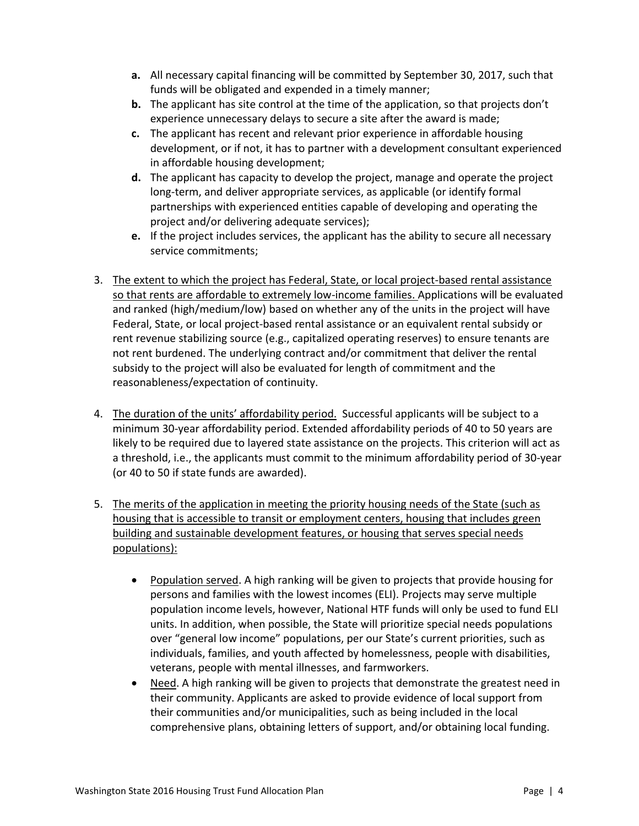- **a.** All necessary capital financing will be committed by September 30, 2017, such that funds will be obligated and expended in a timely manner;
- **b.** The applicant has site control at the time of the application, so that projects don't experience unnecessary delays to secure a site after the award is made;
- **c.** The applicant has recent and relevant prior experience in affordable housing development, or if not, it has to partner with a development consultant experienced in affordable housing development;
- **d.** The applicant has capacity to develop the project, manage and operate the project long-term, and deliver appropriate services, as applicable (or identify formal partnerships with experienced entities capable of developing and operating the project and/or delivering adequate services);
- **e.** If the project includes services, the applicant has the ability to secure all necessary service commitments;
- 3. The extent to which the project has Federal, State, or local project-based rental assistance so that rents are affordable to extremely low-income families. Applications will be evaluated and ranked (high/medium/low) based on whether any of the units in the project will have Federal, State, or local project-based rental assistance or an equivalent rental subsidy or rent revenue stabilizing source (e.g., capitalized operating reserves) to ensure tenants are not rent burdened. The underlying contract and/or commitment that deliver the rental subsidy to the project will also be evaluated for length of commitment and the reasonableness/expectation of continuity.
- 4. The duration of the units' affordability period. Successful applicants will be subject to a minimum 30-year affordability period. Extended affordability periods of 40 to 50 years are likely to be required due to layered state assistance on the projects. This criterion will act as a threshold, i.e., the applicants must commit to the minimum affordability period of 30-year (or 40 to 50 if state funds are awarded).
- 5. The merits of the application in meeting the priority housing needs of the State (such as housing that is accessible to transit or employment centers, housing that includes green building and sustainable development features, or housing that serves special needs populations):
	- Population served. A high ranking will be given to projects that provide housing for persons and families with the lowest incomes (ELI). Projects may serve multiple population income levels, however, National HTF funds will only be used to fund ELI units. In addition, when possible, the State will prioritize special needs populations over "general low income" populations, per our State's current priorities, such as individuals, families, and youth affected by homelessness, people with disabilities, veterans, people with mental illnesses, and farmworkers.
	- Need. A high ranking will be given to projects that demonstrate the greatest need in their community. Applicants are asked to provide evidence of local support from their communities and/or municipalities, such as being included in the local comprehensive plans, obtaining letters of support, and/or obtaining local funding.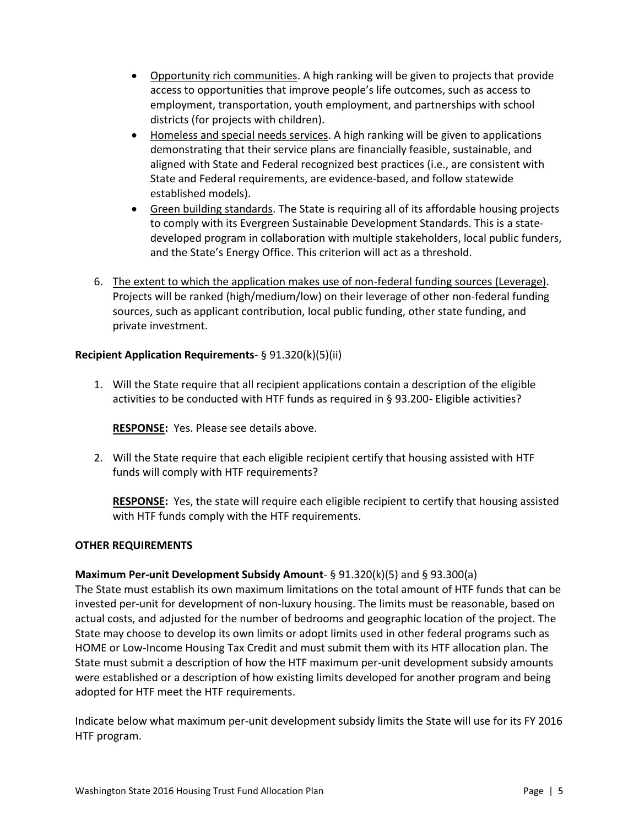- Opportunity rich communities. A high ranking will be given to projects that provide access to opportunities that improve people's life outcomes, such as access to employment, transportation, youth employment, and partnerships with school districts (for projects with children).
- Homeless and special needs services. A high ranking will be given to applications demonstrating that their service plans are financially feasible, sustainable, and aligned with State and Federal recognized best practices (i.e., are consistent with State and Federal requirements, are evidence-based, and follow statewide established models).
- Green building standards. The State is requiring all of its affordable housing projects to comply with its Evergreen Sustainable Development Standards. This is a statedeveloped program in collaboration with multiple stakeholders, local public funders, and the State's Energy Office. This criterion will act as a threshold.
- 6. The extent to which the application makes use of non-federal funding sources (Leverage). Projects will be ranked (high/medium/low) on their leverage of other non-federal funding sources, such as applicant contribution, local public funding, other state funding, and private investment.

# **Recipient Application Requirements**- § 91.320(k)(5)(ii)

1. Will the State require that all recipient applications contain a description of the eligible activities to be conducted with HTF funds as required in § 93.200- Eligible activities?

**RESPONSE:** Yes. Please see details above.

2. Will the State require that each eligible recipient certify that housing assisted with HTF funds will comply with HTF requirements?

**RESPONSE:** Yes, the state will require each eligible recipient to certify that housing assisted with HTF funds comply with the HTF requirements.

# **OTHER REQUIREMENTS**

# **Maximum Per-unit Development Subsidy Amount**- § 91.320(k)(5) and § 93.300(a)

The State must establish its own maximum limitations on the total amount of HTF funds that can be invested per-unit for development of non-luxury housing. The limits must be reasonable, based on actual costs, and adjusted for the number of bedrooms and geographic location of the project. The State may choose to develop its own limits or adopt limits used in other federal programs such as HOME or Low-Income Housing Tax Credit and must submit them with its HTF allocation plan. The State must submit a description of how the HTF maximum per-unit development subsidy amounts were established or a description of how existing limits developed for another program and being adopted for HTF meet the HTF requirements.

Indicate below what maximum per-unit development subsidy limits the State will use for its FY 2016 HTF program.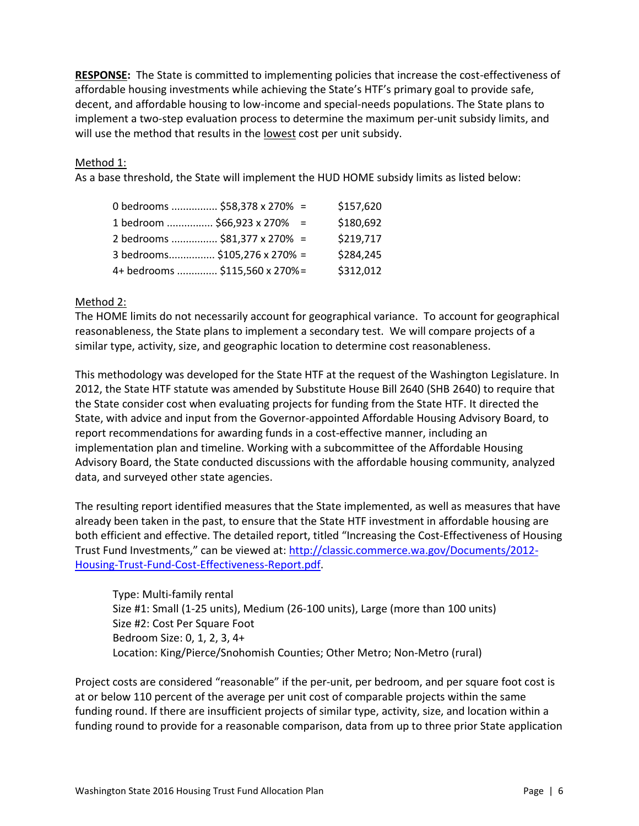**RESPONSE:** The State is committed to implementing policies that increase the cost-effectiveness of affordable housing investments while achieving the State's HTF's primary goal to provide safe, decent, and affordable housing to low-income and special-needs populations. The State plans to implement a two-step evaluation process to determine the maximum per-unit subsidy limits, and will use the method that results in the lowest cost per unit subsidy.

# Method 1:

As a base threshold, the State will implement the HUD HOME subsidy limits as listed below:

| 0 bedrooms  \$58,378 x 270% =  | \$157,620 |
|--------------------------------|-----------|
| 1 bedroom  \$66,923 x 270% =   | \$180,692 |
| 2 bedrooms  \$81,377 x 270% =  | \$219,717 |
| 3 bedrooms \$105,276 x 270% =  | \$284,245 |
| 4+ bedrooms  \$115,560 x 270%= | \$312,012 |

### Method 2:

The HOME limits do not necessarily account for geographical variance. To account for geographical reasonableness, the State plans to implement a secondary test. We will compare projects of a similar type, activity, size, and geographic location to determine cost reasonableness.

This methodology was developed for the State HTF at the request of the Washington Legislature. In 2012, the State HTF statute was amended by Substitute House Bill 2640 (SHB 2640) to require that the State consider cost when evaluating projects for funding from the State HTF. It directed the State, with advice and input from the Governor-appointed Affordable Housing Advisory Board, to report recommendations for awarding funds in a cost-effective manner, including an implementation plan and timeline. Working with a subcommittee of the Affordable Housing Advisory Board, the State conducted discussions with the affordable housing community, analyzed data, and surveyed other state agencies.

The resulting report identified measures that the State implemented, as well as measures that have already been taken in the past, to ensure that the State HTF investment in affordable housing are both efficient and effective. The detailed report, titled "Increasing the Cost-Effectiveness of Housing Trust Fund Investments," can be viewed at: [http://classic.commerce.wa.gov/Documents/2012-](http://classic.commerce.wa.gov/Documents/2012-Housing-Trust-Fund-Cost-Effectiveness-Report.pdf) [Housing-Trust-Fund-Cost-Effectiveness-Report.pdf.](http://classic.commerce.wa.gov/Documents/2012-Housing-Trust-Fund-Cost-Effectiveness-Report.pdf)

Type: Multi-family rental Size #1: Small (1-25 units), Medium (26-100 units), Large (more than 100 units) Size #2: Cost Per Square Foot Bedroom Size: 0, 1, 2, 3, 4+ Location: King/Pierce/Snohomish Counties; Other Metro; Non-Metro (rural)

Project costs are considered "reasonable" if the per-unit, per bedroom, and per square foot cost is at or below 110 percent of the average per unit cost of comparable projects within the same funding round. If there are insufficient projects of similar type, activity, size, and location within a funding round to provide for a reasonable comparison, data from up to three prior State application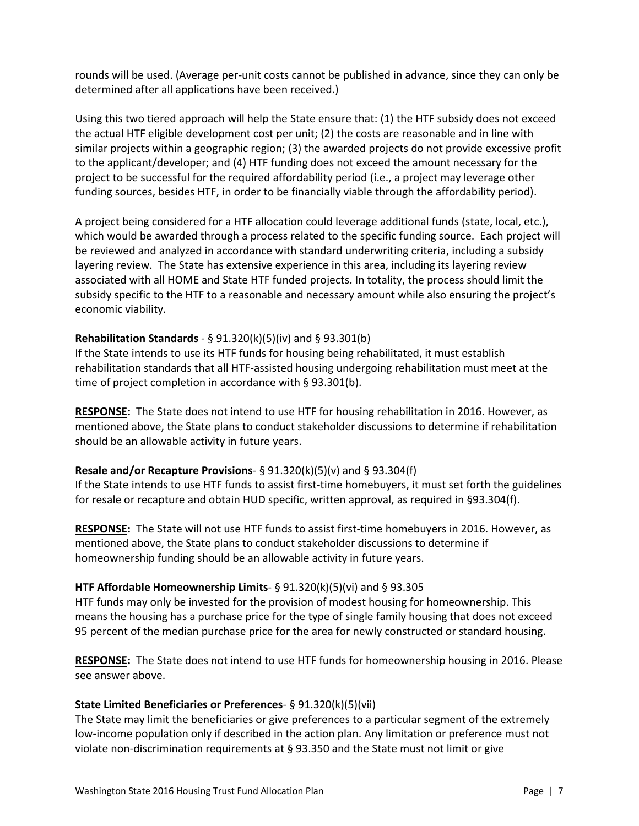rounds will be used. (Average per-unit costs cannot be published in advance, since they can only be determined after all applications have been received.)

Using this two tiered approach will help the State ensure that: (1) the HTF subsidy does not exceed the actual HTF eligible development cost per unit; (2) the costs are reasonable and in line with similar projects within a geographic region; (3) the awarded projects do not provide excessive profit to the applicant/developer; and (4) HTF funding does not exceed the amount necessary for the project to be successful for the required affordability period (i.e., a project may leverage other funding sources, besides HTF, in order to be financially viable through the affordability period).

A project being considered for a HTF allocation could leverage additional funds (state, local, etc.), which would be awarded through a process related to the specific funding source. Each project will be reviewed and analyzed in accordance with standard underwriting criteria, including a subsidy layering review. The State has extensive experience in this area, including its layering review associated with all HOME and State HTF funded projects. In totality, the process should limit the subsidy specific to the HTF to a reasonable and necessary amount while also ensuring the project's economic viability.

# **Rehabilitation Standards** - § 91.320(k)(5)(iv) and § 93.301(b)

If the State intends to use its HTF funds for housing being rehabilitated, it must establish rehabilitation standards that all HTF-assisted housing undergoing rehabilitation must meet at the time of project completion in accordance with § 93.301(b).

**RESPONSE:** The State does not intend to use HTF for housing rehabilitation in 2016. However, as mentioned above, the State plans to conduct stakeholder discussions to determine if rehabilitation should be an allowable activity in future years.

# **Resale and/or Recapture Provisions**- § 91.320(k)(5)(v) and § 93.304(f)

If the State intends to use HTF funds to assist first-time homebuyers, it must set forth the guidelines for resale or recapture and obtain HUD specific, written approval, as required in §93.304(f).

**RESPONSE:** The State will not use HTF funds to assist first-time homebuyers in 2016. However, as mentioned above, the State plans to conduct stakeholder discussions to determine if homeownership funding should be an allowable activity in future years.

### **HTF Affordable Homeownership Limits**- § 91.320(k)(5)(vi) and § 93.305

HTF funds may only be invested for the provision of modest housing for homeownership. This means the housing has a purchase price for the type of single family housing that does not exceed 95 percent of the median purchase price for the area for newly constructed or standard housing.

**RESPONSE:** The State does not intend to use HTF funds for homeownership housing in 2016. Please see answer above.

### **State Limited Beneficiaries or Preferences**- § 91.320(k)(5)(vii)

The State may limit the beneficiaries or give preferences to a particular segment of the extremely low-income population only if described in the action plan. Any limitation or preference must not violate non-discrimination requirements at § 93.350 and the State must not limit or give